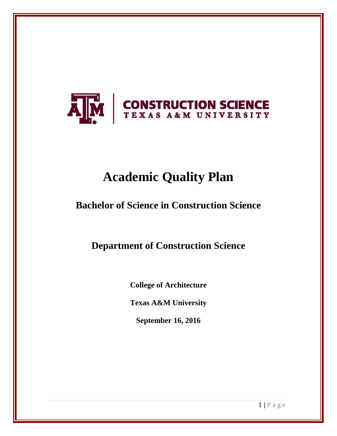

# **Academic Quality Plan**

# **Bachelor of Science in Construction Science**

**Department of Construction Science** 

**College of Architecture**

**Texas A&M University**

**September 16, 2016**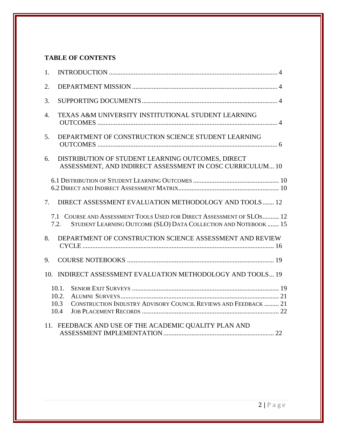# **TABLE OF CONTENTS**

| 1.               |                                                                                                                                                  |  |
|------------------|--------------------------------------------------------------------------------------------------------------------------------------------------|--|
| 2.               |                                                                                                                                                  |  |
| 3.               |                                                                                                                                                  |  |
| $\overline{4}$ . | TEXAS A&M UNIVERSITY INSTITUTIONAL STUDENT LEARNING                                                                                              |  |
| 5 <sub>1</sub>   | DEPARTMENT OF CONSTRUCTION SCIENCE STUDENT LEARNING                                                                                              |  |
| 6.               | DISTRIBUTION OF STUDENT LEARNING OUTCOMES, DIRECT<br>ASSESSMENT, AND INDIRECT ASSESSMENT IN COSC CURRICULUM 10                                   |  |
|                  |                                                                                                                                                  |  |
| 7.               | DIRECT ASSESSMENT EVALUATION METHODOLOGY AND TOOLS 12                                                                                            |  |
|                  | 7.1 COURSE AND ASSESSMENT TOOLS USED FOR DIRECT ASSESSMENT OF SLOS 12<br>STUDENT LEARNING OUTCOME (SLO) DATA COLLECTION AND NOTEBOOK  15<br>7.2. |  |
| 8.               | DEPARTMENT OF CONSTRUCTION SCIENCE ASSESSMENT AND REVIEW                                                                                         |  |
| 9.               |                                                                                                                                                  |  |
|                  | 10. INDIRECT ASSESSMENT EVALUATION METHODOLOGY AND TOOLS 19                                                                                      |  |
|                  | 10.1.<br>10.2.<br>CONSTRUCTION INDUSTRY ADVISORY COUNCIL REVIEWS AND FEEDBACK  21<br>10.3<br>10.4                                                |  |
|                  | 11. FEEDBACK AND USE OF THE ACADEMIC QUALITY PLAN AND                                                                                            |  |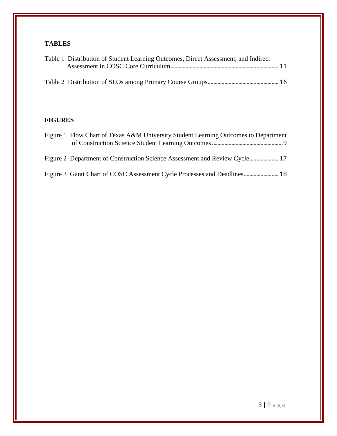# **TABLES**

| Table 1 Distribution of Student Learning Outcomes, Direct Assessment, and Indirect |  |
|------------------------------------------------------------------------------------|--|
|                                                                                    |  |
|                                                                                    |  |
|                                                                                    |  |

# **FIGURES**

| Figure 1 Flow Chart of Texas A&M University Student Learning Outcomes to Department |  |
|-------------------------------------------------------------------------------------|--|
|                                                                                     |  |
|                                                                                     |  |
| Figure 3 Gantt Chart of COSC Assessment Cycle Processes and Deadlines 18            |  |

3 | P a g e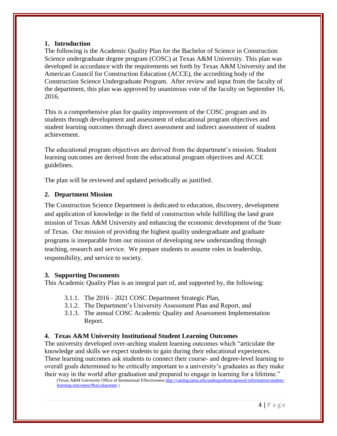#### <span id="page-3-0"></span>**1. Introduction**

The following is the Academic Quality Plan for the Bachelor of Science in Construction Science undergraduate degree program (COSC) at Texas A&M University. This plan was developed in accordance with the requirements set forth by Texas A&M University and the American Council for Construction Education (ACCE), the accrediting body of the Construction Science Undergraduate Program. After review and input from the faculty of the department, this plan was approved by unanimous vote of the faculty on September 16, 2016.

This is a comprehensive plan for quality improvement of the COSC program and its students through development and assessment of educational program objectives and student learning outcomes through direct assessment and indirect assessment of student achievement.

The educational program objectives are derived from the department's mission. Student learning outcomes are derived from the educational program objectives and ACCE guidelines.

The plan will be reviewed and updated periodically as justified.

# <span id="page-3-1"></span>**2. Department Mission**

The Construction Science Department is dedicated to education, discovery, development and application of knowledge in the field of construction while fulfilling the land grant mission of Texas A&M University and enhancing the economic development of the State of Texas. Our mission of providing the highest quality undergraduate and graduate programs is inseparable from our mission of developing new understanding through teaching, research and service. We prepare students to assume roles in leadership, responsibility, and service to society.

# <span id="page-3-2"></span>**3. Supporting Documents**

This Academic Quality Plan is an integral part of, and supported by, the following:

- 3.1.1. The 2016 2021 COSC Department Strategic Plan,
- 3.1.2. The Department's University Assessment Plan and Report, and
- 3.1.3. The annual COSC Academic Quality and Assessment Implementation Report.

# <span id="page-3-3"></span>**4. Texas A&M University Institutional Student Learning Outcomes**

The university developed over-arching student learning outcomes which "articulate the knowledge and skills we expect students to gain during their educational experiences. These learning outcomes ask students to connect their course- and degree-level learning to overall goals determined to be critically important to a university's graduates as they make their way in the world after graduation and prepared to engage in learning for a lifetime."

(Texas A&M University Office of Institutional Effectiveness [http://catalog.tamu.edu/undergraduate/general-information/student](http://catalog.tamu.edu/undergraduate/general-information/student-learning-outcomes/#baccalaureate)[learning-outcomes/#baccalaureate](http://catalog.tamu.edu/undergraduate/general-information/student-learning-outcomes/#baccalaureate) )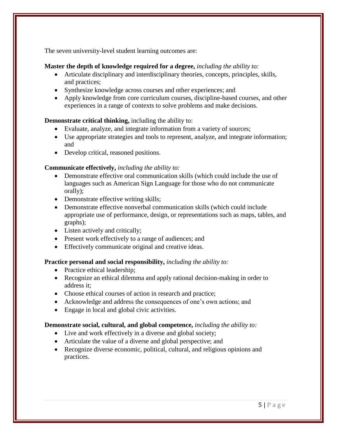The seven university-level student learning outcomes are:

#### **Master the depth of knowledge required for a degree,** *including the ability to:*

- Articulate disciplinary and interdisciplinary theories, concepts, principles, skills, and practices;
- Synthesize knowledge across courses and other experiences; and
- Apply knowledge from core curriculum courses, discipline-based courses, and other experiences in a range of contexts to solve problems and make decisions.

# **Demonstrate critical thinking,** including the ability to:

- Evaluate, analyze, and integrate information from a variety of sources;
- Use appropriate strategies and tools to represent, analyze, and integrate information; and
- Develop critical, reasoned positions.

# **Communicate effectively,** *including the ability to:*

- Demonstrate effective oral communication skills (which could include the use of languages such as American Sign Language for those who do not communicate orally);
- Demonstrate effective writing skills;
- Demonstrate effective nonverbal communication skills (which could include appropriate use of performance, design, or representations such as maps, tables, and graphs);
- Listen actively and critically;
- Present work effectively to a range of audiences; and
- Effectively communicate original and creative ideas.

# **Practice personal and social responsibility,** *including the ability to:*

- Practice ethical leadership;
- Recognize an ethical dilemma and apply rational decision-making in order to address it;
- Choose ethical courses of action in research and practice;
- Acknowledge and address the consequences of one's own actions; and
- Engage in local and global civic activities.

# **Demonstrate social, cultural, and global competence,** *including the ability to:*

- Live and work effectively in a diverse and global society;
- Articulate the value of a diverse and global perspective; and
- Recognize diverse economic, political, cultural, and religious opinions and practices.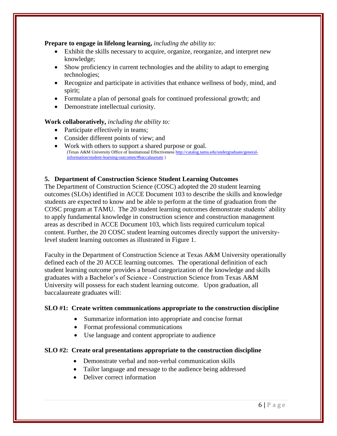#### **Prepare to engage in lifelong learning,** *including the ability to:*

- Exhibit the skills necessary to acquire, organize, reorganize, and interpret new knowledge;
- Show proficiency in current technologies and the ability to adapt to emerging technologies;
- Recognize and participate in activities that enhance wellness of body, mind, and spirit;
- Formulate a plan of personal goals for continued professional growth; and
- Demonstrate intellectual curiosity.

#### **Work collaboratively,** *including the ability to:*

- Participate effectively in teams;
- Consider different points of view; and
- Work with others to support a shared purpose or goal. (Texas A&M University Office of Institutional Effectivenes[s http://catalog.tamu.edu/undergraduate/general](http://catalog.tamu.edu/undergraduate/general-information/student-learning-outcomes/#baccalaureate)[information/student-learning-outcomes/#baccalaureate](http://catalog.tamu.edu/undergraduate/general-information/student-learning-outcomes/#baccalaureate) )

#### <span id="page-5-0"></span>**5. Department of Construction Science Student Learning Outcomes**

The Department of Construction Science (COSC) adopted the 20 student learning outcomes (SLOs) identified in ACCE Document 103 to describe the skills and knowledge students are expected to know and be able to perform at the time of graduation from the COSC program at TAMU. The 20 student learning outcomes demonstrate students' ability to apply fundamental knowledge in construction science and construction management areas as described in ACCE Document 103, which lists required curriculum topical content. Further, the 20 COSC student learning outcomes directly support the universitylevel student learning outcomes as illustrated in Figure 1.

Faculty in the Department of Construction Science at Texas A&M University operationally defined each of the 20 ACCE learning outcomes. The operational definition of each student learning outcome provides a broad categorization of the knowledge and skills graduates with a Bachelor's of Science - Construction Science from Texas A&M University will possess for each student learning outcome. Upon graduation, all baccalaureate graduates will:

#### **SLO #1: Create written communications appropriate to the construction discipline**

- Summarize information into appropriate and concise format
- Format professional communications
- Use language and content appropriate to audience

#### **SLO #2: Create oral presentations appropriate to the construction discipline**

- Demonstrate verbal and non-verbal communication skills
- Tailor language and message to the audience being addressed
- Deliver correct information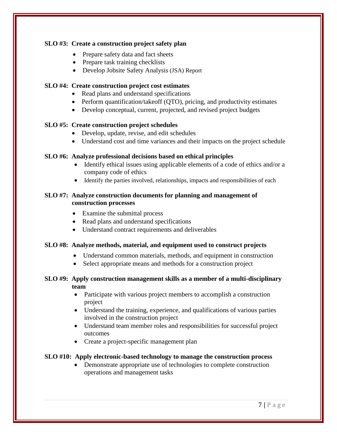#### **SLO #3: Create a construction project safety plan**

- Prepare safety data and fact sheets
- Prepare task training checklists
- Develop Jobsite Safety Analysis (JSA) Report

# **SLO #4: Create construction project cost estimates**

- Read plans and understand specifications
- Perform quantification/takeoff (QTO), pricing, and productivity estimates
- Develop conceptual, current, projected, and revised project budgets

# **SLO #5: Create construction project schedules**

- Develop, update, revise, and edit schedules
- Understand cost and time variances and their impacts on the project schedule

# **SLO #6: Analyze professional decisions based on ethical principles**

- Identify ethical issues using applicable elements of a code of ethics and/or a company code of ethics
- Identify the parties involved, relationships, impacts and responsibilities of each

# **SLO #7: Analyze construction documents for planning and management of construction processes**

- Examine the submittal process
- Read plans and understand specifications
- Understand contract requirements and deliverables

# **SLO #8: Analyze methods, material, and equipment used to construct projects**

- Understand common materials, methods, and equipment in construction
- Select appropriate means and methods for a construction project

# **SLO #9: Apply construction management skills as a member of a multi-disciplinary team**

- Participate with various project members to accomplish a construction project
- Understand the training, experience, and qualifications of various parties involved in the construction project
- Understand team member roles and responsibilities for successful project outcomes
- Create a project-specific management plan

# **SLO #10: Apply electronic-based technology to manage the construction process**

• Demonstrate appropriate use of technologies to complete construction operations and management tasks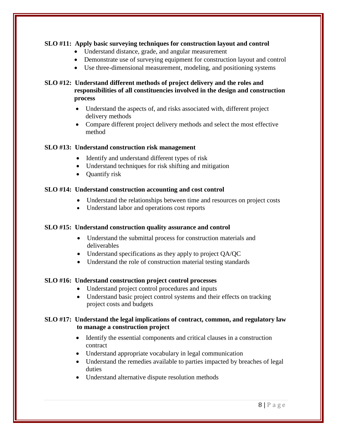# **SLO #11: Apply basic surveying techniques for construction layout and control**

- Understand distance, grade, and angular measurement
- Demonstrate use of surveying equipment for construction layout and control
- Use three-dimensional measurement, modeling, and positioning systems

# **SLO #12: Understand different methods of project delivery and the roles and responsibilities of all constituencies involved in the design and construction process**

- Understand the aspects of, and risks associated with, different project delivery methods
- Compare different project delivery methods and select the most effective method

# **SLO #13: Understand construction risk management**

- Identify and understand different types of risk
- Understand techniques for risk shifting and mitigation
- Quantify risk

# **SLO #14: Understand construction accounting and cost control**

- Understand the relationships between time and resources on project costs
- Understand labor and operations cost reports

# **SLO #15: Understand construction quality assurance and control**

- Understand the submittal process for construction materials and deliverables
- Understand specifications as they apply to project QA/QC
- Understand the role of construction material testing standards

# **SLO #16: Understand construction project control processes**

- Understand project control procedures and inputs
- Understand basic project control systems and their effects on tracking project costs and budgets

# **SLO #17: Understand the legal implications of contract, common, and regulatory law to manage a construction project**

- Identify the essential components and critical clauses in a construction contract
- Understand appropriate vocabulary in legal communication
- Understand the remedies available to parties impacted by breaches of legal duties
- Understand alternative dispute resolution methods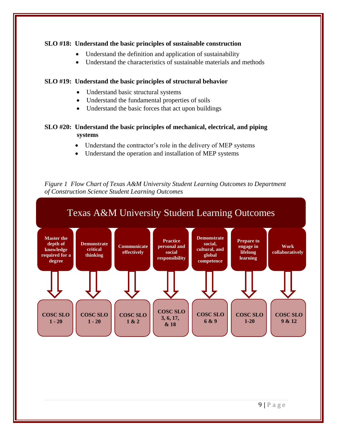#### **SLO #18: Understand the basic principles of sustainable construction**

- Understand the definition and application of sustainability
- Understand the characteristics of sustainable materials and methods

#### **SLO #19: Understand the basic principles of structural behavior**

- Understand basic structural systems
- Understand the fundamental properties of soils
- Understand the basic forces that act upon buildings

# **SLO #20: Understand the basic principles of mechanical, electrical, and piping systems**

- Understand the contractor's role in the delivery of MEP systems
- Understand the operation and installation of MEP systems

<span id="page-8-0"></span>*Figure 1 Flow Chart of Texas A&M University Student Learning Outcomes to Department of Construction Science Student Learning Outcomes*

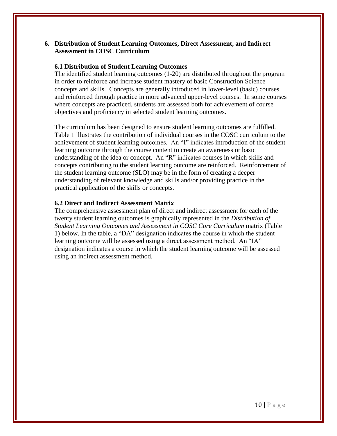#### <span id="page-9-0"></span>**6. Distribution of Student Learning Outcomes, Direct Assessment, and Indirect Assessment in COSC Curriculum**

#### <span id="page-9-1"></span>**6.1 Distribution of Student Learning Outcomes**

The identified student learning outcomes (1-20) are distributed throughout the program in order to reinforce and increase student mastery of basic Construction Science concepts and skills. Concepts are generally introduced in lower-level (basic) courses and reinforced through practice in more advanced upper-level courses. In some courses where concepts are practiced, students are assessed both for achievement of course objectives and proficiency in selected student learning outcomes.

The curriculum has been designed to ensure student learning outcomes are fulfilled. Table 1 illustrates the contribution of individual courses in the COSC curriculum to the achievement of student learning outcomes. An "I" indicates introduction of the student learning outcome through the course content to create an awareness or basic understanding of the idea or concept. An "R" indicates courses in which skills and concepts contributing to the student learning outcome are reinforced. Reinforcement of the student learning outcome (SLO) may be in the form of creating a deeper understanding of relevant knowledge and skills and/or providing practice in the practical application of the skills or concepts.

#### <span id="page-9-2"></span>**6.2 Direct and Indirect Assessment Matrix**

The comprehensive assessment plan of direct and indirect assessment for each of the twenty student learning outcomes is graphically represented in the *Distribution of Student Learning Outcomes and Assessment in COSC Core Curriculum* matrix (Table 1) below. In the table, a "DA" designation indicates the course in which the student learning outcome will be assessed using a direct assessment method. An "IA" designation indicates a course in which the student learning outcome will be assessed using an indirect assessment method.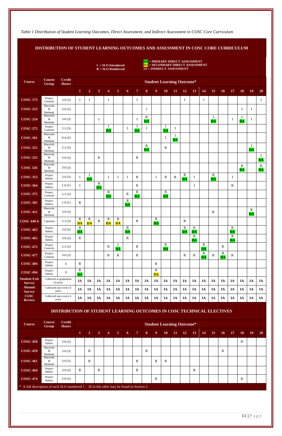11 | P a g e

<span id="page-10-0"></span>*Table 1 Distribution of Student Learning Outcomes, Direct Assessment, and Indirect Assessment in COSC Core Curriculum*

**DISTRIBUTION OF STUDENT LEARNING OUTCOMES AND ASSESSMENT IN COSC CORE CURRICULUM**

|                                      |                                         |                                     |                                       |                                      |                                         |                                | $I = SLO Introduced$<br>$R = SLO$ Reinforced |                                       |                                         |                                         | <mark>DA</mark> = PRIMARY DIRECT ASSESSMENT<br><mark>DA</mark> = SECONDARY DIRECT ASSESSMENT<br><b>IA = INDIRECT ASSESSMENT</b> |                                         |                                     |                          |                                         |                                         |                          |                                       |                          |                                          |                        |                                         |
|--------------------------------------|-----------------------------------------|-------------------------------------|---------------------------------------|--------------------------------------|-----------------------------------------|--------------------------------|----------------------------------------------|---------------------------------------|-----------------------------------------|-----------------------------------------|---------------------------------------------------------------------------------------------------------------------------------|-----------------------------------------|-------------------------------------|--------------------------|-----------------------------------------|-----------------------------------------|--------------------------|---------------------------------------|--------------------------|------------------------------------------|------------------------|-----------------------------------------|
| <b>Course</b>                        | <b>Course</b><br><b>Group</b>           | <b>Credit</b><br><b>Hours</b>       |                                       |                                      |                                         |                                |                                              |                                       |                                         |                                         | <b>Student Learning Outcome*</b>                                                                                                |                                         |                                     |                          |                                         |                                         |                          |                                       |                          |                                          |                        |                                         |
|                                      |                                         |                                     | $\mathbf{1}$                          | $\overline{2}$                       | 3 <sup>1</sup>                          | $\overline{\mathbf{4}}$        | 5 <sub>5</sub>                               | 6                                     | $\overline{7}$                          | 8 <sup>1</sup>                          | 9                                                                                                                               | <b>10</b>                               | 11                                  | 12                       | 13                                      | 14                                      | 15                       | 16                                    | 17                       | 18                                       | 19                     | 20                                      |
| <b>COSC-175</b>                      | Project<br>Controls                     | $3-0(3)$                            | $\mathbf I$                           | $\bf{I}$                             |                                         | $\bf I$                        |                                              |                                       | Ι                                       |                                         |                                                                                                                                 |                                         |                                     | $\mathbf I$              |                                         | $\bf{I}$                                |                          |                                       |                          |                                          |                        | $\bf{I}$                                |
| <b>COSC-253</b>                      | Materials<br>$\&$<br>Methods            | $3-0(3)$                            |                                       |                                      |                                         |                                |                                              |                                       |                                         | $\bf{I}$                                |                                                                                                                                 |                                         |                                     |                          |                                         |                                         |                          |                                       |                          | I                                        | Ι                      |                                         |
| <b>COSC-254</b>                      | Materials<br>$\&$<br>Methods            | $3-0(3)$                            |                                       |                                      | $\bf{I}$                                |                                |                                              |                                       | 1                                       | ${\bf R}$<br><b>DA</b>                  |                                                                                                                                 |                                         |                                     |                          |                                         |                                         | I<br><b>DA</b>           |                                       | $\bf{I}$                 | $\bf{I}$<br>$\overline{\mathbf{DA}}$     | $\bf{I}$               |                                         |
| <b>COSC-275</b>                      | Project<br>Controls                     | $2-3(3)$                            |                                       |                                      |                                         | Ι.<br>$\overline{\mathbf{DA}}$ |                                              | $\bf{I}$                              | $\overline{\mathbf{DA}}$                | $\bf{I}$                                |                                                                                                                                 | $\mathbf I$<br><b>DA</b>                | $\bf{I}$                            |                          |                                         |                                         |                          |                                       |                          |                                          |                        |                                         |
| <b>COSC-301</b>                      | Materials<br>&<br>Methods               | $0-4(2)$                            |                                       |                                      |                                         |                                |                                              |                                       |                                         |                                         |                                                                                                                                 | Ι                                       | $\bf I$<br>$\overline{\mathbf{DA}}$ |                          |                                         |                                         |                          |                                       |                          |                                          |                        |                                         |
| <b>COSC-321</b>                      | Materials<br>&                          | $2-2(3)$                            |                                       |                                      |                                         |                                |                                              |                                       |                                         | $\mathbf R$<br>$\overline{\mathbf{DA}}$ |                                                                                                                                 | $\mathbb{R}$                            |                                     |                          |                                         |                                         |                          |                                       |                          |                                          | I<br>DA                |                                         |
| <b>COSC-325</b>                      | Methods<br>Materials<br>$\&$<br>Methods | $3-0(3)$                            |                                       |                                      | $\mathbf R$                             |                                |                                              |                                       | $\mathbf R$                             |                                         |                                                                                                                                 |                                         |                                     |                          |                                         |                                         |                          |                                       |                          |                                          |                        | $\mathbf I$<br><b>DA</b>                |
| <b>COSC 326</b>                      | Materials<br>$\&$<br>Methods            | $3-0(3)$                            |                                       |                                      |                                         |                                |                                              |                                       |                                         |                                         |                                                                                                                                 |                                         |                                     |                          |                                         |                                         |                          |                                       |                          | $\mathbb{R}$<br>$\overline{\mathbf{DA}}$ |                        | $\mathbf R$<br>$\overline{\mathbf{DA}}$ |
| <b>COSC-353</b>                      | Project<br>Admin.                       | $3-0(3)$                            | $\mathbf I$                           | $\bf{I}$<br>$\overline{\mathbf{DA}}$ |                                         | $\bf I$                        | $\mathbf{I}$                                 | Ι.                                    | R                                       |                                         | I                                                                                                                               | ${\bf R}$                               | $\mathbf R$                         | $\mathbf R$<br><b>DA</b> | $\bf I$                                 |                                         | $\mathbf R$<br><b>DA</b> |                                       | $\mathbf I$              |                                          |                        |                                         |
| <b>COSC-364</b>                      | Project<br>Admin.                       | $1-0(1)$                            | $\mathbf I$                           |                                      | $\mathbf R$<br>$\overline{\mathbf{DA}}$ |                                |                                              |                                       | R                                       |                                         |                                                                                                                                 |                                         |                                     |                          | $\mathbf{I}$                            |                                         |                          |                                       | $\mathbf R$              |                                          |                        |                                         |
| <b>COSC-375</b>                      | Project<br>Controls                     | $2-3(3)$                            |                                       |                                      |                                         | $\mathbf R$<br><b>DA</b>       |                                              | R                                     | $\mathbf R$<br>$\overline{\mathbf{DA}}$ |                                         |                                                                                                                                 | $\mathbf R$<br>$\overline{\mathbf{DA}}$ |                                     |                          |                                         |                                         |                          |                                       |                          |                                          |                        |                                         |
| <b>COSC-381</b>                      | Project<br>Admin.                       | $1-0(1)$                            | $\mathbf R$                           |                                      |                                         |                                |                                              | $\mathbf R$<br><b>DA</b>              |                                         |                                         |                                                                                                                                 |                                         |                                     |                          |                                         |                                         |                          |                                       |                          |                                          |                        |                                         |
| <b>COSC-421</b>                      | Materials<br>&<br>Methods               | $3-0(3)$                            |                                       |                                      |                                         |                                |                                              |                                       |                                         |                                         |                                                                                                                                 |                                         |                                     |                          |                                         |                                         | ${\bf R}$                |                                       |                          |                                          | ${\bf R}$<br><b>DA</b> |                                         |
| <b>COSC 440-6</b>                    | Capstone                                | $2-3(3)$                            | $\mathbf R$<br><b>DA</b>              | $\mathbf R$<br><b>DA</b>             | ${\bf R}$                               | $\mathbb{R}$<br><b>DA</b>      | $\mathbf R$<br>$\overline{\mathbf{DA}}$      |                                       | $\mathbf R$                             |                                         | $\mathbf R$<br>$\overline{\mathbf{DA}}$                                                                                         |                                         |                                     | $\mathbf R$              |                                         |                                         |                          |                                       |                          |                                          |                        |                                         |
| <b>COSC-463</b>                      | Project<br>Admin.                       | $3-0(3)$                            | ${\bf R}$<br><b>DA</b>                |                                      |                                         |                                |                                              | ${\bf R}$<br>$\overline{\mathbf{DA}}$ |                                         |                                         |                                                                                                                                 |                                         |                                     | ${\bf R}$<br><b>DA</b>   | $\mathbf R$<br>$\overline{\mathbf{DA}}$ |                                         |                          |                                       | $\mathbf R$<br><b>DA</b> |                                          |                        |                                         |
| <b>COSC-465</b>                      | Project<br>Admin.                       | $3-0(3)$                            | $\mathbf R$                           |                                      |                                         |                                |                                              | $\mathbf R$                           |                                         |                                         |                                                                                                                                 |                                         |                                     |                          | ${\bf R}$<br>$\overline{\mathbf{DA}}$   |                                         |                          |                                       | $\mathbf R$<br><b>DA</b> |                                          |                        |                                         |
| <b>COSC-475</b>                      | Project<br>Controls                     | $2-3(3)$                            |                                       |                                      |                                         | $\mathbb{R}$                   | Ι.<br>$\overline{\mathbf{DA}}$               |                                       | R                                       |                                         |                                                                                                                                 | $\mathbf R$<br>$\overline{\mathbf{DA}}$ |                                     |                          |                                         | $\mathbf R$<br>$\overline{\mathbf{DA}}$ |                          | $\mathbf R$                           |                          |                                          |                        |                                         |
| <b>COSC-477</b>                      | Project<br>Controls                     | $3-0(3)$                            |                                       |                                      |                                         | ${\bf R}$                      | ${\bf R}$                                    |                                       | $\mathbf R$                             |                                         |                                                                                                                                 |                                         |                                     | $\mathbf R$              | ${\bf R}$                               | ${\bf R}$<br>$\overline{\mathbf{DA}}$   | $\mathbf R$              | ${\bf R}$<br>$\overline{\mathbf{DA}}$ | $\mathbf R$              |                                          |                        |                                         |
| <b>COSC-484</b>                      | Project<br>Admin.                       | 6                                   | $\mathbf R$                           |                                      |                                         |                                |                                              |                                       |                                         |                                         | $\mathbf R$                                                                                                                     |                                         |                                     |                          |                                         |                                         |                          |                                       |                          |                                          |                        |                                         |
| <b>COSC-494</b>                      | Project<br>Admin.                       | 6                                   | ${\bf R}$<br>$\overline{\mathbf{DA}}$ |                                      |                                         |                                |                                              |                                       |                                         |                                         | $\mathbf R$<br>$\overline{\mathbf{DA}}$                                                                                         |                                         |                                     |                          |                                         |                                         |                          |                                       |                          |                                          |                        |                                         |
| <b>Student Exit</b><br><b>Survey</b> |                                         | Collected at graduation<br>(3/year) | IA                                    | IA                                   | IA                                      | IA                             | IA                                           | IA                                    | IA                                      | IA                                      | IA                                                                                                                              | IA                                      | IA                                  | IA                       | IA                                      | IA                                      | IA                       | IA                                    | IA                       | IA                                       | IA                     | <b>IA</b>                               |
| <b>Alumni</b><br><b>Survey</b>       |                                         | Collected once every 6<br>years     | IA                                    | IA                                   | IA                                      | IA                             | IA                                           | IA                                    | IA                                      | IA                                      | IA                                                                                                                              | IA                                      | IA                                  | IA                       | IA                                      | IA                                      | IA                       | IA                                    | IA                       | IA                                       | IA                     | <b>IA</b>                               |
| <b>CIAC</b><br><b>Review</b>         |                                         | Collected once every 6<br>years     | IA                                    | IA                                   | IA                                      | IA                             | IA                                           | IA                                    | IA                                      | IA                                      | IA                                                                                                                              | IA                                      | IA                                  | IA                       | IA                                      | IA                                      | IA                       | IA                                    | IA                       | IA                                       | IA                     | IA                                      |

# **DISTRIBUTION OF STUDENT LEARNING OUTCOMES IN COSC TECHNICAL ELECTIVES**

| <b>Course</b>                                                                                 | <b>Course</b><br>Group    | <b>Credit</b><br><b>Hours</b> |              |   |                |                         |   |   |                |              |              |              |           | <b>Student Learning Outcome*</b> |           |           |    |              |    |             |           |           |
|-----------------------------------------------------------------------------------------------|---------------------------|-------------------------------|--------------|---|----------------|-------------------------|---|---|----------------|--------------|--------------|--------------|-----------|----------------------------------|-----------|-----------|----|--------------|----|-------------|-----------|-----------|
|                                                                                               |                           |                               | $\mathbf{1}$ | 2 | 3 <sup>1</sup> | $\overline{\mathbf{4}}$ | 5 | 6 | $\overline{7}$ | 8            | 9            | <b>10</b>    | <b>11</b> | <b>12</b>                        | <b>13</b> | <b>14</b> | 15 | <b>16</b>    | 17 | <b>18</b>   | <b>19</b> | <b>20</b> |
| <b>COSC-450</b>                                                                               | Project<br>Admin.         | $3-0(3)$                      |              |   |                |                         |   |   |                |              |              |              |           |                                  |           |           |    |              |    | $\mathbf R$ |           |           |
| <b>COSC-459</b>                                                                               | Materials<br>&<br>Methods | $3-0(3)$                      |              | R |                |                         |   |   |                | $\mathbb{R}$ |              |              |           |                                  |           |           |    | $\mathbb{R}$ |    |             |           |           |
| <b>COSC-461</b>                                                                               | Materials<br>&<br>Methods | $3-0(3)$                      |              | R |                |                         |   |   | R              |              | $\mathbb{R}$ | $\mathbb{R}$ |           |                                  |           |           |    |              |    |             |           |           |
| <b>COSC-464</b>                                                                               | Project<br>Admin.         | $3-0(3)$                      | R            |   | $\mathbb{R}$   |                         |   |   | $\mathbb{R}$   |              |              |              |           |                                  | R         |           |    |              |    |             |           |           |
| <b>COSC-474</b>                                                                               | Project<br>Admin.         | $3-0(3)$                      |              |   |                |                         |   |   |                |              | $\mathbb{R}$ |              |           |                                  |           |           |    |              |    | R           |           |           |
| $*$ A full description of each SLO numbered $1 - 20$ in this table may be found in Section 5. |                           |                               |              |   |                |                         |   |   |                |              |              |              |           |                                  |           |           |    |              |    |             |           |           |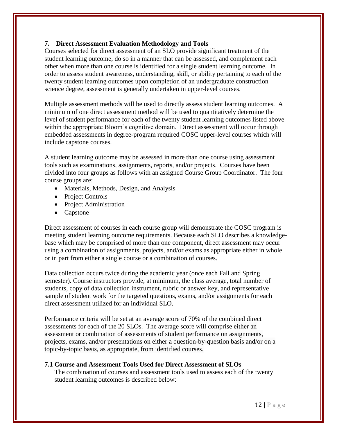# <span id="page-11-0"></span>**7. Direct Assessment Evaluation Methodology and Tools**

Courses selected for direct assessment of an SLO provide significant treatment of the student learning outcome, do so in a manner that can be assessed, and complement each other when more than one course is identified for a single student learning outcome. In order to assess student awareness, understanding, skill, or ability pertaining to each of the twenty student learning outcomes upon completion of an undergraduate construction science degree, assessment is generally undertaken in upper-level courses.

Multiple assessment methods will be used to directly assess student learning outcomes. A minimum of one direct assessment method will be used to quantitatively determine the level of student performance for each of the twenty student learning outcomes listed above within the appropriate Bloom's cognitive domain. Direct assessment will occur through embedded assessments in degree-program required COSC upper-level courses which will include capstone courses.

A student learning outcome may be assessed in more than one course using assessment tools such as examinations, assignments, reports, and/or projects. Courses have been divided into four groups as follows with an assigned Course Group Coordinator. The four course groups are:

- Materials, Methods, Design, and Analysis
- Project Controls
- Project Administration
- Capstone

Direct assessment of courses in each course group will demonstrate the COSC program is meeting student learning outcome requirements. Because each SLO describes a knowledgebase which may be comprised of more than one component, direct assessment may occur using a combination of assignments, projects, and/or exams as appropriate either in whole or in part from either a single course or a combination of courses.

Data collection occurs twice during the academic year (once each Fall and Spring semester). Course instructors provide, at minimum, the class average, total number of students, copy of data collection instrument, rubric or answer key, and representative sample of student work for the targeted questions, exams, and/or assignments for each direct assessment utilized for an individual SLO.

Performance criteria will be set at an average score of 70% of the combined direct assessments for each of the 20 SLOs. The average score will comprise either an assessment or combination of assessments of student performance on assignments, projects, exams, and/or presentations on either a question-by-question basis and/or on a topic-by-topic basis, as appropriate, from identified courses.

#### **7.1 Course and Assessment Tools Used for Direct Assessment of SLOs**

<span id="page-11-1"></span>The combination of courses and assessment tools used to assess each of the twenty student learning outcomes is described below: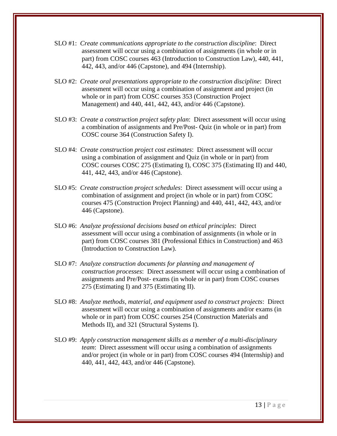- SLO #1: *Create communications appropriate to the construction discipline*: Direct assessment will occur using a combination of assignments (in whole or in part) from COSC courses 463 (Introduction to Construction Law), 440, 441, 442, 443, and/or 446 (Capstone), and 494 (Internship).
- SLO #2: *Create oral presentations appropriate to the construction discipline*: Direct assessment will occur using a combination of assignment and project (in whole or in part) from COSC courses 353 (Construction Project Management) and 440, 441, 442, 443, and/or 446 (Capstone).
- SLO #3: *Create a construction project safety plan*: Direct assessment will occur using a combination of assignments and Pre/Post- Quiz (in whole or in part) from COSC course 364 (Construction Safety I).
- SLO #4: *Create construction project cost estimates*: Direct assessment will occur using a combination of assignment and Quiz (in whole or in part) from COSC courses COSC 275 (Estimating I), COSC 375 (Estimating II) and 440, 441, 442, 443, and/or 446 (Capstone).
- SLO #5: *Create construction project schedules*: Direct assessment will occur using a combination of assignment and project (in whole or in part) from COSC courses 475 (Construction Project Planning) and 440, 441, 442, 443, and/or 446 (Capstone).
- SLO #6: *Analyze professional decisions based on ethical principles*: Direct assessment will occur using a combination of assignments (in whole or in part) from COSC courses 381 (Professional Ethics in Construction) and 463 (Introduction to Construction Law).
- SLO #7: *Analyze construction documents for planning and management of construction processes*: Direct assessment will occur using a combination of assignments and Pre/Post- exams (in whole or in part) from COSC courses 275 (Estimating I) and 375 (Estimating II).
- SLO #8: *Analyze methods, material, and equipment used to construct projects*: Direct assessment will occur using a combination of assignments and/or exams (in whole or in part) from COSC courses 254 (Construction Materials and Methods II), and 321 (Structural Systems I).
- SLO #9: *Apply construction management skills as a member of a multi-disciplinary team*: Direct assessment will occur using a combination of assignments and/or project (in whole or in part) from COSC courses 494 (Internship) and 440, 441, 442, 443, and/or 446 (Capstone).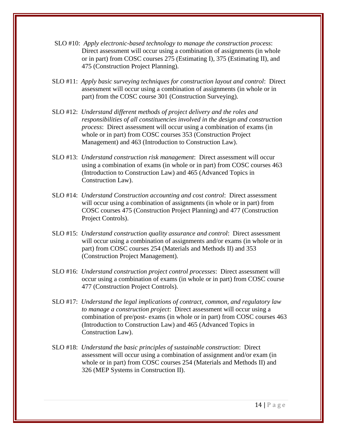- SLO #10: *Apply electronic-based technology to manage the construction process*: Direct assessment will occur using a combination of assignments (in whole or in part) from COSC courses 275 (Estimating I), 375 (Estimating II), and 475 (Construction Project Planning).
- SLO #11: *Apply basic surveying techniques for construction layout and control*: Direct assessment will occur using a combination of assignments (in whole or in part) from the COSC course 301 (Construction Surveying).
- SLO #12: *Understand different methods of project delivery and the roles and responsibilities of all constituencies involved in the design and construction process*: Direct assessment will occur using a combination of exams (in whole or in part) from COSC courses 353 (Construction Project Management) and 463 (Introduction to Construction Law).
- SLO #13: *Understand construction risk management*: Direct assessment will occur using a combination of exams (in whole or in part) from COSC courses 463 (Introduction to Construction Law) and 465 (Advanced Topics in Construction Law).
- SLO #14: *Understand Construction accounting and cost control*: Direct assessment will occur using a combination of assignments (in whole or in part) from COSC courses 475 (Construction Project Planning) and 477 (Construction Project Controls).
- SLO #15: *Understand construction quality assurance and control*: Direct assessment will occur using a combination of assignments and/or exams (in whole or in part) from COSC courses 254 (Materials and Methods II) and 353 (Construction Project Management).
- SLO #16: *Understand construction project control processes*: Direct assessment will occur using a combination of exams (in whole or in part) from COSC course 477 (Construction Project Controls).
- SLO #17: *Understand the legal implications of contract, common, and regulatory law to manage a construction project*: Direct assessment will occur using a combination of pre/post- exams (in whole or in part) from COSC courses 463 (Introduction to Construction Law) and 465 (Advanced Topics in Construction Law).
- SLO #18: *Understand the basic principles of sustainable construction*: Direct assessment will occur using a combination of assignment and/or exam (in whole or in part) from COSC courses 254 (Materials and Methods II) and 326 (MEP Systems in Construction II).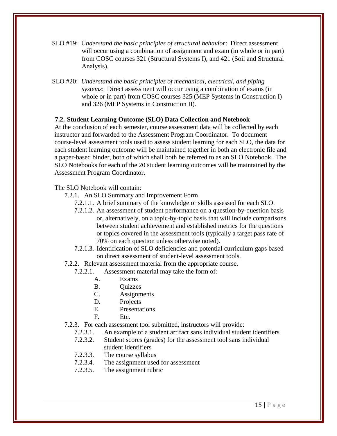- SLO #19: U*nderstand the basic principles of structural behavior*: Direct assessment will occur using a combination of assignment and exam (in whole or in part) from COSC courses 321 (Structural Systems I), and 421 (Soil and Structural Analysis).
- SLO #20: *Understand the basic principles of mechanical, electrical, and piping systems*: Direct assessment will occur using a combination of exams (in whole or in part) from COSC courses 325 (MEP Systems in Construction I) and 326 (MEP Systems in Construction II).

#### <span id="page-14-0"></span>**7.2. Student Learning Outcome (SLO) Data Collection and Notebook**

At the conclusion of each semester, course assessment data will be collected by each instructor and forwarded to the Assessment Program Coordinator. To document course-level assessment tools used to assess student learning for each SLO, the data for each student learning outcome will be maintained together in both an electronic file and a paper-based binder, both of which shall both be referred to as an SLO Notebook. The SLO Notebooks for each of the 20 student learning outcomes will be maintained by the Assessment Program Coordinator.

#### The SLO Notebook will contain:

- 7.2.1. An SLO Summary and Improvement Form
	- 7.2.1.1. A brief summary of the knowledge or skills assessed for each SLO.
	- 7.2.1.2. An assessment of student performance on a question-by-question basis or, alternatively, on a topic-by-topic basis that will include comparisons between student achievement and established metrics for the questions or topics covered in the assessment tools (typically a target pass rate of 70% on each question unless otherwise noted).
	- 7.2.1.3. Identification of SLO deficiencies and potential curriculum gaps based on direct assessment of student-level assessment tools.
- 7.2.2. Relevant assessment material from the appropriate course.
	- 7.2.2.1. Assessment material may take the form of:
		- A. Exams
		- B. Quizzes
		- C. Assignments
		- D. Projects
		- E. Presentations
		- F. Etc.
- 7.2.3. For each assessment tool submitted, instructors will provide:
	- 7.2.3.1. An example of a student artifact sans individual student identifiers
	- 7.2.3.2. Student scores (grades) for the assessment tool sans individual student identifiers
	- 7.2.3.3. The course syllabus
	- 7.2.3.4. The assignment used for assessment
	- 7.2.3.5. The assignment rubric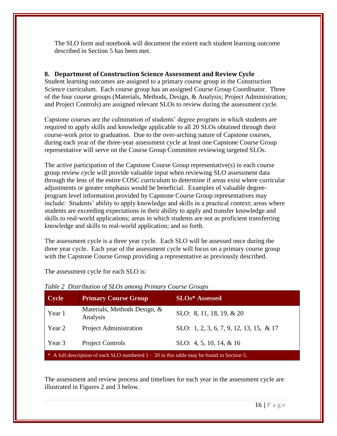The SLO form and notebook will document the extent each student learning outcome described in Section 5 has been met.

# <span id="page-15-0"></span>**8. Department of Construction Science Assessment and Review Cycle**

Student learning outcomes are assigned to a primary course group in the Construction Science curriculum. Each course group has an assigned Course Group Coordinator. Three of the four course groups (Materials, Methods, Design, & Analysis; Project Administration; and Project Controls) are assigned relevant SLOs to review during the assessment cycle.

Capstone courses are the culmination of students' degree program in which students are required to apply skills and knowledge applicable to all 20 SLOs obtained through their course-work prior to graduation. Due to the over-arching nature of Capstone courses, during each year of the three-year assessment cycle at least one Capstone Course Group representative will serve on the Course Group Committee reviewing targeted SLOs.

The active participation of the Capstone Course Group representative(s) in each course group review cycle will provide valuable input when reviewing SLO assessment data through the lens of the entire COSC curriculum to determine if areas exist where curricular adjustments or greater emphasis would be beneficial. Examples of valuable degreeprogram level information provided by Capstone Course Group representatives may include: Students' ability to apply knowledge and skills in a practical context; areas where students are exceeding expectations in their ability to apply and transfer knowledge and skills to real-world applications; areas in which students are not as proficient transferring knowledge and skills to real-world application; and so forth.

The assessment cycle is a three year cycle. Each SLO will be assessed once during the three year cycle. Each year of the assessment cycle will focus on a primary course group with the Capstone Course Group providing a representative as previously described.

The assessment cycle for each SLO is:

| <b>Cycle</b> | <b>Primary Course Group</b>                                                                 | <b>SLOs*</b> Assessed                   |
|--------------|---------------------------------------------------------------------------------------------|-----------------------------------------|
| Year 1       | Materials, Methods Design, &<br>Analysis                                                    | SLO: 8, 11, 18, 19, & 20                |
| Year 2       | <b>Project Administration</b>                                                               | SLO: 1, 2, 3, 6, 7, 9, 12, 13, 15, & 17 |
| Year 3       | Project Controls                                                                            | SLO: 4, 5, 10, 14, $&$ 16               |
|              | * A full description of each SLO numbered $1 - 20$ in this table may be found in Section 5. |                                         |

#### <span id="page-15-1"></span>*Table 2 Distribution of SLOs among Primary Course Groups*

The assessment and review process and timelines for each year in the assessment cycle are illustrated in Figures 2 and 3 below.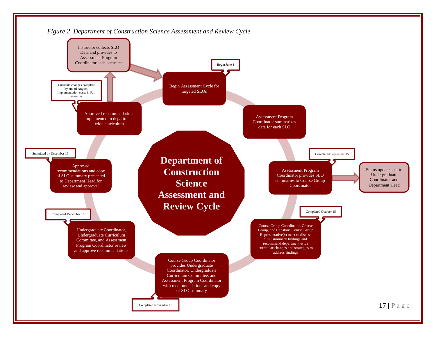<span id="page-16-0"></span>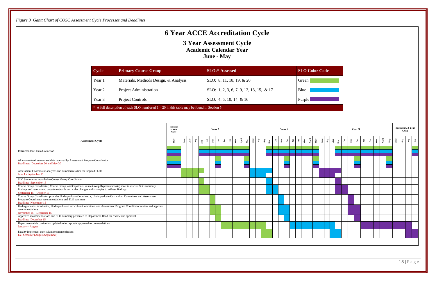18 | P a g e

# **6 Year ACCE Accreditation Cycle**

**3 Year Assessment Cycle Academic Calendar Year June - May**

<span id="page-17-0"></span>

| Cycle  | <b>Primary Course Group</b>                                                                   | <b>SLOs*</b> Assessed                   | <b>SLO Color Code</b> |
|--------|-----------------------------------------------------------------------------------------------|-----------------------------------------|-----------------------|
| Year 1 | Materials, Methods Design, & Analysis                                                         | SLO: 8, 11, 18, 19, $& 20$              | Green                 |
| Year 2 | Project Administration                                                                        | SLO: 1, 2, 3, 6, 7, 9, 12, 13, 15, & 17 | Blue                  |
| Year 3 | <b>Project Controls</b>                                                                       | SLO: 4, 5, 10, 14, & 16                 | Purple                |
|        | $*$ A full description of each SLO numbered $1 - 20$ in this table may be found in Section 5. |                                         |                       |

|                                                                                                                                                                                                                                                | <b>Previous</b><br>3-Year<br>Cycle | Year 1 |      |     |                            |  |  |                                                                                                                                                                                                                                                                                                                                                                                                                                |  |  |  |  |  | Year 2                                                                                                                                                                                                                                                                                                                                                                                                                                                                     |  |  |  |  |                              | Year 3 |              |     |       |              | <b>Begin New 3-Year</b><br>Cycle |                                        |                        |  |
|------------------------------------------------------------------------------------------------------------------------------------------------------------------------------------------------------------------------------------------------|------------------------------------|--------|------|-----|----------------------------|--|--|--------------------------------------------------------------------------------------------------------------------------------------------------------------------------------------------------------------------------------------------------------------------------------------------------------------------------------------------------------------------------------------------------------------------------------|--|--|--|--|--|----------------------------------------------------------------------------------------------------------------------------------------------------------------------------------------------------------------------------------------------------------------------------------------------------------------------------------------------------------------------------------------------------------------------------------------------------------------------------|--|--|--|--|------------------------------|--------|--------------|-----|-------|--------------|----------------------------------|----------------------------------------|------------------------|--|
| <b>Assessment Cycle</b>                                                                                                                                                                                                                        | May                                |        | ਸ਼ੈਂ | Aug | $_{\rm Oct}$<br>$\delta q$ |  |  | $\begin{array}{ c c c c c }\n\hline\n\text{A} & \text{B} & \text{A} & \text{B} \\ \hline\n\text{B} & \text{A} & \text{B} & \text{B} \\ \hline\n\text{C} & \text{A} & \text{B} & \text{B} \\ \hline\n\text{C} & \text{A} & \text{B} & \text{B} \\ \hline\n\text{C} & \text{A} & \text{B} & \text{B} \\ \hline\n\text{C} & \text{A} & \text{B} & \text{B} \\ \hline\n\text{D} & \text{A} & \text{B} & \text{B} \\ \hline\n\text$ |  |  |  |  |  | $\frac{1}{2} \left  \frac{1}{2} \right  \left  \frac{1}{2} \right  \left  \frac{1}{2} \right  \left  \frac{1}{2} \right  \left  \frac{1}{2} \right  \left  \frac{1}{2} \right  \left  \frac{1}{2} \right  \left  \frac{1}{2} \right  \left  \frac{1}{2} \right  \left  \frac{1}{2} \right  \left  \frac{1}{2} \right  \left  \frac{1}{2} \right  \left  \frac{1}{2} \right  \left  \frac{1}{2} \right  \left  \frac{1}{2} \right  \left  \frac{1}{2} \right  \left  \frac$ |  |  |  |  | $\overline{\phantom{a}}$ Mov |        | $I$ an $Feb$ | Mar | April | $_{\rm May}$ |                                  | $_{\rm Aug}$<br>$\mathbf{J}\mathbf{u}$ | $\mathbf{S}\mathbf{p}$ |  |
| Instructor-level Data Collection                                                                                                                                                                                                               |                                    |        |      |     |                            |  |  |                                                                                                                                                                                                                                                                                                                                                                                                                                |  |  |  |  |  |                                                                                                                                                                                                                                                                                                                                                                                                                                                                            |  |  |  |  |                              |        |              |     |       |              |                                  |                                        |                        |  |
| All course-level assessment data received by Assessment Program Coordinator<br>Deadlines: December 30 and May 30                                                                                                                               |                                    |        |      |     |                            |  |  |                                                                                                                                                                                                                                                                                                                                                                                                                                |  |  |  |  |  |                                                                                                                                                                                                                                                                                                                                                                                                                                                                            |  |  |  |  |                              |        |              |     |       |              |                                  |                                        |                        |  |
| Assessment Coordinator analyzes and summarizes data for targeted SLOs<br>June 1 - September 15                                                                                                                                                 |                                    |        |      |     |                            |  |  |                                                                                                                                                                                                                                                                                                                                                                                                                                |  |  |  |  |  |                                                                                                                                                                                                                                                                                                                                                                                                                                                                            |  |  |  |  |                              |        |              |     |       |              |                                  |                                        |                        |  |
| SLO Summaries provided to Course Group Coordinator<br>Deadline: September 15                                                                                                                                                                   |                                    |        |      |     |                            |  |  |                                                                                                                                                                                                                                                                                                                                                                                                                                |  |  |  |  |  |                                                                                                                                                                                                                                                                                                                                                                                                                                                                            |  |  |  |  |                              |        |              |     |       |              |                                  |                                        |                        |  |
| Course Group Coordinator, Course Group, and Capstone Course Group Representative(s) meet to discuss SLO summary<br>findings and recommend department-wide curricular changes and strategies to address findings<br>September $15 -$ October 15 |                                    |        |      |     |                            |  |  |                                                                                                                                                                                                                                                                                                                                                                                                                                |  |  |  |  |  |                                                                                                                                                                                                                                                                                                                                                                                                                                                                            |  |  |  |  |                              |        |              |     |       |              |                                  |                                        |                        |  |
| Course Group Coordinator provides Undergraduate Coordinator, Undergraduate Curriculum Committee, and Assessment<br>Program Coordinator recommendations and SLO summary<br>Deadline: November 15                                                |                                    |        |      |     |                            |  |  |                                                                                                                                                                                                                                                                                                                                                                                                                                |  |  |  |  |  |                                                                                                                                                                                                                                                                                                                                                                                                                                                                            |  |  |  |  |                              |        |              |     |       |              |                                  |                                        |                        |  |
| Undergraduate Coordinator, Undergraduate Curriculum Committee, and Assessment Program Coordinator review and approve<br>recommendations<br>November $15 -$ December 15                                                                         |                                    |        |      |     |                            |  |  |                                                                                                                                                                                                                                                                                                                                                                                                                                |  |  |  |  |  |                                                                                                                                                                                                                                                                                                                                                                                                                                                                            |  |  |  |  |                              |        |              |     |       |              |                                  |                                        |                        |  |
| Approved recommendations and SLO summary presented to Department Head for review and approval<br>Deadline: December 15                                                                                                                         |                                    |        |      |     |                            |  |  |                                                                                                                                                                                                                                                                                                                                                                                                                                |  |  |  |  |  |                                                                                                                                                                                                                                                                                                                                                                                                                                                                            |  |  |  |  |                              |        |              |     |       |              |                                  |                                        |                        |  |
| Department-wide curriculum updated to incorporate approved recommendations<br>January - August                                                                                                                                                 |                                    |        |      |     |                            |  |  |                                                                                                                                                                                                                                                                                                                                                                                                                                |  |  |  |  |  |                                                                                                                                                                                                                                                                                                                                                                                                                                                                            |  |  |  |  |                              |        |              |     |       |              |                                  |                                        |                        |  |
| Faculty implement curriculum recommendations<br>Fall Semester (August/September)                                                                                                                                                               |                                    |        |      |     |                            |  |  |                                                                                                                                                                                                                                                                                                                                                                                                                                |  |  |  |  |  |                                                                                                                                                                                                                                                                                                                                                                                                                                                                            |  |  |  |  |                              |        |              |     |       |              |                                  |                                        |                        |  |
|                                                                                                                                                                                                                                                |                                    |        |      |     |                            |  |  |                                                                                                                                                                                                                                                                                                                                                                                                                                |  |  |  |  |  |                                                                                                                                                                                                                                                                                                                                                                                                                                                                            |  |  |  |  |                              |        |              |     |       |              |                                  |                                        |                        |  |

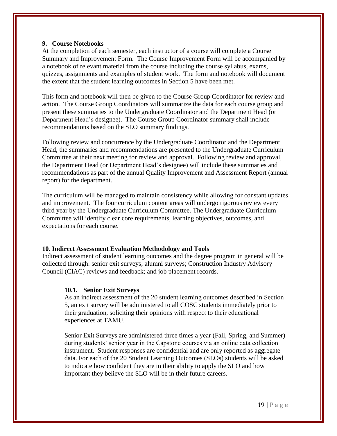#### <span id="page-18-0"></span>**9. Course Notebooks**

At the completion of each semester, each instructor of a course will complete a Course Summary and Improvement Form. The Course Improvement Form will be accompanied by a notebook of relevant material from the course including the course syllabus, exams, quizzes, assignments and examples of student work. The form and notebook will document the extent that the student learning outcomes in Section 5 have been met.

This form and notebook will then be given to the Course Group Coordinator for review and action. The Course Group Coordinators will summarize the data for each course group and present these summaries to the Undergraduate Coordinator and the Department Head (or Department Head's designee). The Course Group Coordinator summary shall include recommendations based on the SLO summary findings.

Following review and concurrence by the Undergraduate Coordinator and the Department Head, the summaries and recommendations are presented to the Undergraduate Curriculum Committee at their next meeting for review and approval. Following review and approval, the Department Head (or Department Head's designee) will include these summaries and recommendations as part of the annual Quality Improvement and Assessment Report (annual report) for the department.

The curriculum will be managed to maintain consistency while allowing for constant updates and improvement. The four curriculum content areas will undergo rigorous review every third year by the Undergraduate Curriculum Committee. The Undergraduate Curriculum Committee will identify clear core requirements, learning objectives, outcomes, and expectations for each course.

#### <span id="page-18-1"></span>**10. Indirect Assessment Evaluation Methodology and Tools**

Indirect assessment of student learning outcomes and the degree program in general will be collected through: senior exit surveys; alumni surveys; Construction Industry Advisory Council (CIAC) reviews and feedback; and job placement records.

#### <span id="page-18-2"></span>**10.1. Senior Exit Surveys**

As an indirect assessment of the 20 student learning outcomes described in Section 5, an exit survey will be administered to all COSC students immediately prior to their graduation, soliciting their opinions with respect to their educational experiences at TAMU.

Senior Exit Surveys are administered three times a year (Fall, Spring, and Summer) during students' senior year in the Capstone courses via an online data collection instrument. Student responses are confidential and are only reported as aggregate data. For each of the 20 Student Learning Outcomes (SLOs) students will be asked to indicate how confident they are in their ability to apply the SLO and how important they believe the SLO will be in their future careers.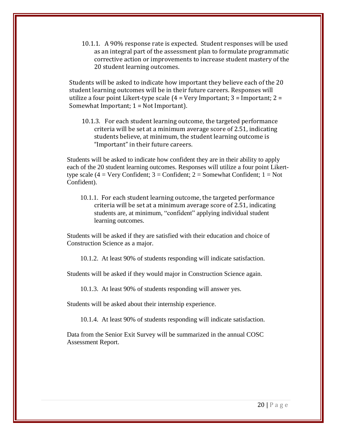10.1.1. A 90% response rate is expected. Student responses will be used as an integral part of the assessment plan to formulate programmatic corrective action or improvements to increase student mastery of the 20 student learning outcomes.

Students will be asked to indicate how important they believe each of the 20 student learning outcomes will be in their future careers. Responses will utilize a four point Likert-type scale  $(4 = V)$ ery Important; 3 = Important; 2 = Somewhat Important; 1 = Not Important).

10.1.3. For each student learning outcome, the targeted performance criteria will be set at a minimum average score of 2.51, indicating students believe, at minimum, the student learning outcome is "Important" in their future careers.

Students will be asked to indicate how confident they are in their ability to apply each of the 20 student learning outcomes. Responses will utilize a four point Likerttype scale  $(4 = \text{Very confident}; 3 = \text{Confident}; 2 = \text{Somewhat Conflict}; 1 = \text{Not}$ Confident).

10.1.1. For each student learning outcome, the targeted performance criteria will be set at a minimum average score of 2.51, indicating students are, at minimum, "confident" applying individual student learning outcomes.

Students will be asked if they are satisfied with their education and choice of Construction Science as a major.

10.1.2. At least 90% of students responding will indicate satisfaction.

Students will be asked if they would major in Construction Science again.

10.1.3. At least 90% of students responding will answer yes.

Students will be asked about their internship experience.

10.1.4. At least 90% of students responding will indicate satisfaction.

Data from the Senior Exit Survey will be summarized in the annual COSC Assessment Report.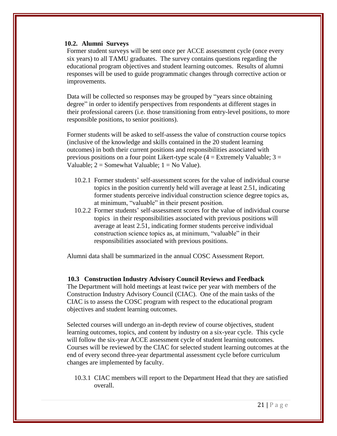#### <span id="page-20-0"></span>**10.2. Alumni Surveys**

Former student surveys will be sent once per ACCE assessment cycle (once every six years) to all TAMU graduates. The survey contains questions regarding the educational program objectives and student learning outcomes. Results of alumni responses will be used to guide programmatic changes through corrective action or improvements.

Data will be collected so responses may be grouped by "years since obtaining degree" in order to identify perspectives from respondents at different stages in their professional careers (i.e. those transitioning from entry-level positions, to more responsible positions, to senior positions).

Former students will be asked to self-assess the value of construction course topics (inclusive of the knowledge and skills contained in the 20 student learning outcomes) in both their current positions and responsibilities associated with previous positions on a four point Likert-type scale  $(4 =$  Extremely Valuable;  $3 =$ Valuable;  $2 =$  Somewhat Valuable;  $1 =$  No Value).

- 10.2.1 Former students' self-assessment scores for the value of individual course topics in the position currently held will average at least 2.51, indicating former students perceive individual construction science degree topics as, at minimum, "valuable" in their present position.
- 10.2.2 Former students' self-assessment scores for the value of individual course topics in their responsibilities associated with previous positions will average at least 2.51, indicating former students perceive individual construction science topics as, at minimum, "valuable" in their responsibilities associated with previous positions.

Alumni data shall be summarized in the annual COSC Assessment Report.

#### <span id="page-20-1"></span>**10.3 Construction Industry Advisory Council Reviews and Feedback**

The Department will hold meetings at least twice per year with members of the Construction Industry Advisory Council (CIAC). One of the main tasks of the CIAC is to assess the COSC program with respect to the educational program objectives and student learning outcomes.

Selected courses will undergo an in-depth review of course objectives, student learning outcomes, topics, and content by industry on a six-year cycle. This cycle will follow the six-year ACCE assessment cycle of student learning outcomes. Courses will be reviewed by the CIAC for selected student learning outcomes at the end of every second three-year departmental assessment cycle before curriculum changes are implemented by faculty.

10.3.1 CIAC members will report to the Department Head that they are satisfied overall.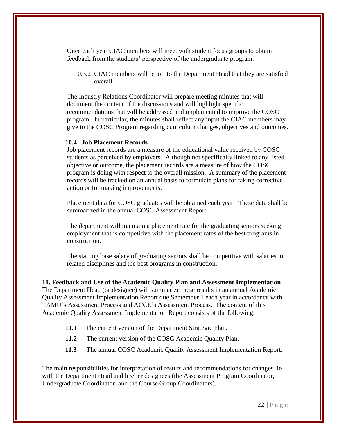Once each year CIAC members will meet with student focus groups to obtain feedback from the students' perspective of the undergraduate program.

10.3.2 CIAC members will report to the Department Head that they are satisfied overall.

The Industry Relations Coordinator will prepare meeting minutes that will document the content of the discussions and will highlight specific recommendations that will be addressed and implemented to improve the COSC program. In particular, the minutes shall reflect any input the CIAC members may give to the COSC Program regarding curriculum changes, objectives and outcomes.

#### <span id="page-21-0"></span>**10.4 Job Placement Records**

Job placement records are a measure of the educational value received by COSC students as perceived by employers. Although not specifically linked to any listed objective or outcome, the placement records are a measure of how the COSC program is doing with respect to the overall mission. A summary of the placement records will be tracked on an annual basis to formulate plans for taking corrective action or for making improvements.

Placement data for COSC graduates will be obtained each year. These data shall be summarized in the annual COSC Assessment Report.

The department will maintain a placement rate for the graduating seniors seeking employment that is competitive with the placement rates of the best programs in construction.

The starting base salary of graduating seniors shall be competitive with salaries in related disciplines and the best programs in construction.

<span id="page-21-1"></span>**11. Feedback and Use of the Academic Quality Plan and Assessment Implementation** The Department Head (or designee) will summarize these results in an annual Academic Quality Assessment Implementation Report due September 1 each year in accordance with TAMU's Assessment Process and ACCE's Assessment Process. The content of this Academic Quality Assessment Implementation Report consists of the following:

- **11.1** The current version of the Department Strategic Plan.
- **11.2** The current version of the COSC Academic Quality Plan.
- **11.3** The annual COSC Academic Quality Assessment Implementation Report.

The main responsibilities for interpretation of results and recommendations for changes lie with the Department Head and his/her designees (the Assessment Program Coordinator, Undergraduate Coordinator, and the Course Group Coordinators).